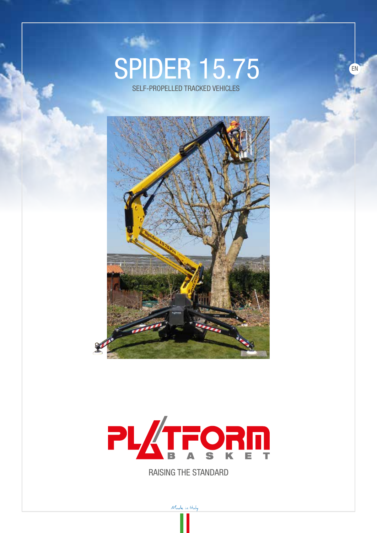## **SPIDER 15.75**

SELF-PROPELLED TRACKED VEHICLES





RAISING THE STANDARD

Made in Haly